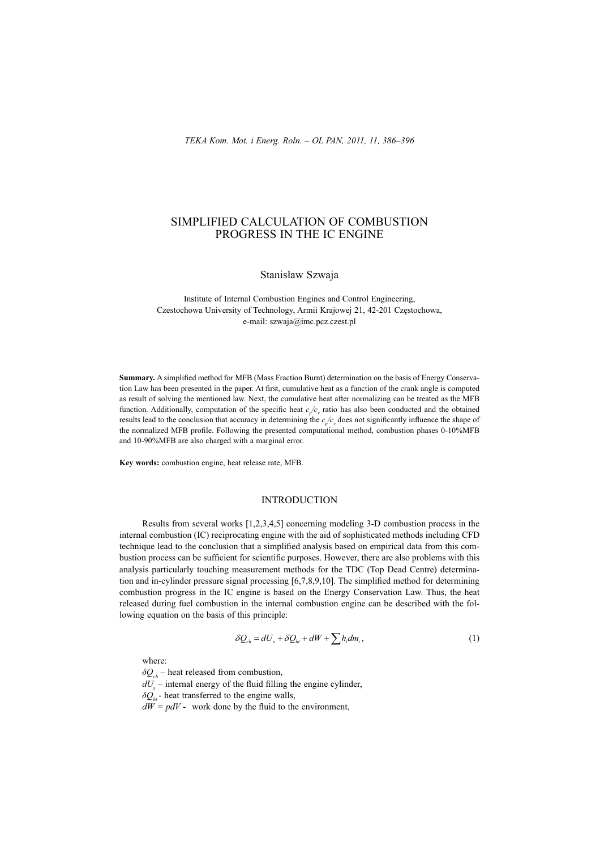# SIMPLIFIED CALCULATION OF COMBUSTION PROGRESS IN THE IC ENGINE

Stanisław Szwaja

Institute of Internal Combustion Engines and Control Engineering, Czestochowa University of Technology, Armii Krajowej 21, 42-201 Częstochowa, e-mail: szwaja@imc.pcz.czest.pl

**Summary.** A simplified method for MFB (Mass Fraction Burnt) determination on the basis of Energy Conservation Law has been presented in the paper. At first, cumulative heat as a function of the crank angle is computed as result of solving the mentioned law. Next, the cumulative heat after normalizing can be treated as the MFB function. Additionally, computation of the specific heat  $c_p/c_v$  ratio has also been conducted and the obtained results lead to the conclusion that accuracy in determining the  $c_p/c$  does not significantly influence the shape of the normalized MFB profile. Following the presented computational method, combustion phases 0-10%MFB and 10-90%MFB are also charged with a marginal error.

**Key words:** combustion engine, heat release rate, MFB.

## INTRODUCTION

Results from several works [1,2,3,4,5] concerning modeling 3-D combustion process in the internal combustion (IC) reciprocating engine with the aid of sophisticated methods including CFD technique lead to the conclusion that a simplified analysis based on empirical data from this combustion process can be sufficient for scientific purposes. However, there are also problems with this analysis particularly touching measurement methods for the TDC (Top Dead Centre) determination and in-cylinder pressure signal processing  $[6,7,8,9,10]$ . The simplified method for determining combustion progress in the IC engine is based on the Energy Conservation Law. Thus, the heat released during fuel combustion in the internal combustion engine can be described with the following equation on the basis of this principle:

$$
\delta Q_{ch} = dU_s + \delta Q_{ht} + dW + \sum h_i dm_i, \qquad (1)
$$

where:

 $\delta Q_{\mu}$  – heat released from combustion,  $dU_s$ <sup>*m*</sup> – internal energy of the fluid filling the engine cylinder,  $\delta Q_h$ - heat transferred to the engine walls,  $dW = pdV$  - work done by the fluid to the environment,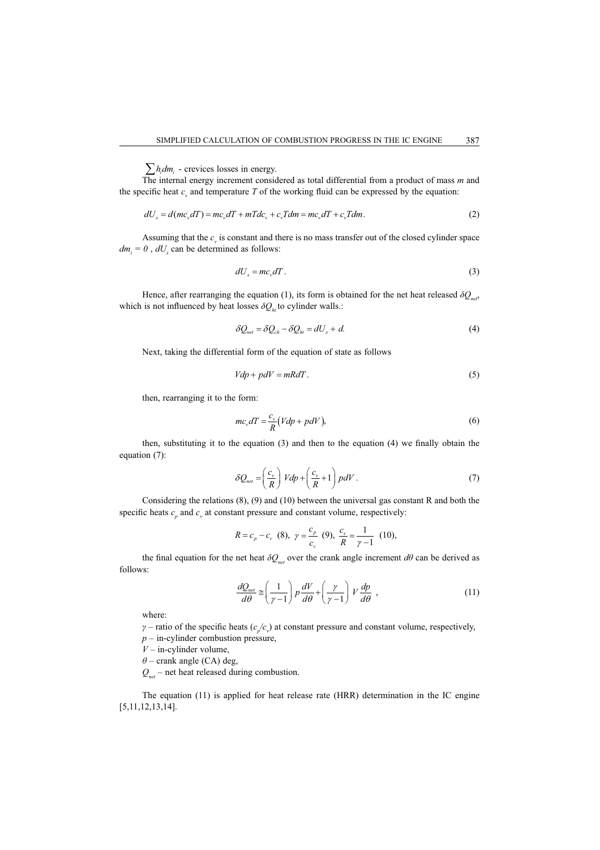$\sum h_i dm_i$  - crevices losses in energy.

The internal energy increment considered as total differential from a product of mass *m* and the specific heat  $c<sub>v</sub>$  and temperature  $T$  of the working fluid can be expressed by the equation:

$$
dU_s = d(mc_v dT) = mc_v dT + mTdc_v + c_v Tdm = mc_v dT + c_v Tdm.
$$
\n(2)

Assuming that the  $c<sub>v</sub>$  is constant and there is no mass transfer out of the closed cylinder space  $dm_i = 0$ ,  $dU_s$  can be determined as follows:

$$
dU_s = mc_v dT. \tag{3}
$$

Hence, after rearranging the equation (1), its form is obtained for the net heat released  $\delta Q_{\textit{net}}$ , which is not influenced by heat losses  $\delta Q_h$  to cylinder walls.:

$$
\delta Q_{net} = \delta Q_{ch} - \delta Q_{ht} = dU_s + d. \tag{4}
$$

Next, taking the differential form of the equation of state as follows

$$
Vdp + pdV = mRdT.
$$
\n<sup>(5)</sup>

then, rearranging it to the form:

$$
mc_v dT = \frac{c_v}{R} (Vdp + pdV),
$$
\n(6)

then, substituting it to the equation  $(3)$  and then to the equation  $(4)$  we finally obtain the equation (7):

$$
\delta Q_{net} = \left(\frac{c_v}{R}\right) Vdp + \left(\frac{c_v}{R} + 1\right) pdV.
$$
\n(7)

Considering the relations (8), (9) and (10) between the universal gas constant R and both the specific heats  $c_p$  and  $c_v$  at constant pressure and constant volume, respectively:

$$
R = c_p - c_v \quad (8), \ \ \gamma = \frac{c_p}{c_v} \quad (9), \ \ \frac{c_v}{R} = \frac{1}{\gamma - 1} \quad (10),
$$

the final equation for the net heat  $\delta Q_{net}$  over the crank angle increment  $d\theta$  can be derived as follows:

$$
\frac{dQ_{net}}{d\theta} \cong \left(\frac{1}{\gamma - 1}\right) p \frac{dV}{d\theta} + \left(\frac{\gamma}{\gamma - 1}\right) V \frac{dp}{d\theta} ,\qquad (11)
$$

where:

 $\gamma$  – ratio of the specific heats  $(c_p/c_p)$  at constant pressure and constant volume, respectively,  $p$  – in-cylinder combustion pressure,

 $V$  – in-cylinder volume,

 $\theta$  – crank angle (CA) deg,

*Qnet* – net heat released during combustion.

The equation (11) is applied for heat release rate (HRR) determination in the IC engine [5,11,12,13,14].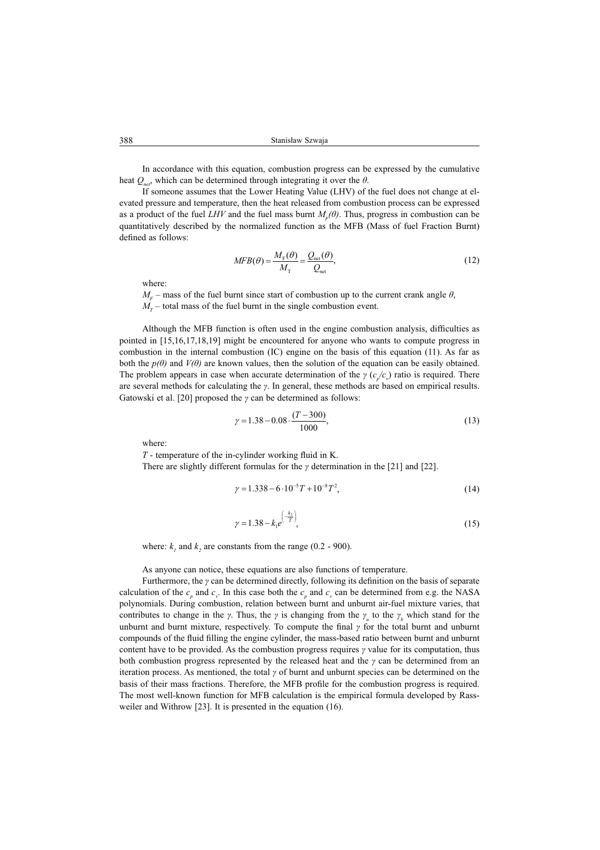In accordance with this equation, combustion progress can be expressed by the cumulative heat  $Q_{\text{net}}$ , which can be determined through integrating it over the  $\theta$ .

If someone assumes that the Lower Heating Value (LHV) of the fuel does not change at elevated pressure and temperature, then the heat released from combustion process can be expressed as a product of the fuel *LHV* and the fuel mass burnt  $M_F(\theta)$ . Thus, progress in combustion can be quantitatively described by the normalized function as the MFB (Mass of fuel Fraction Burnt) defined as follows:

$$
MFB(\theta) = \frac{M_{\rm F}(\theta)}{M_{\rm T}} = \frac{Q_{\rm net}(\theta)}{Q_{\rm net}},
$$
\n(12)

where:

 $M_F$  – mass of the fuel burnt since start of combustion up to the current crank angle  $\theta$ ,  $M_T$  – total mass of the fuel burnt in the single combustion event.

Although the MFB function is often used in the engine combustion analysis, difficulties as pointed in [15,16,17,18,19] might be encountered for anyone who wants to compute progress in combustion in the internal combustion (IC) engine on the basis of this equation (11). As far as both the  $p(\theta)$  and  $V(\theta)$  are known values, then the solution of the equation can be easily obtained. The problem appears in case when accurate determination of the  $\gamma$  ( $c_p/c_v$ ) ratio is required. There are several methods for calculating the  $\gamma$ . In general, these methods are based on empirical results. Gatowski et al. [20] proposed the  $\gamma$  can be determined as follows:

$$
\gamma = 1.38 - 0.08 \cdot \frac{(T - 300)}{1000},\tag{13}
$$

where:

*T* - temperature of the in-cylinder working fluid in K.

There are slightly different formulas for the  $\gamma$  determination in the [21] and [22].

$$
\gamma = 1.338 - 6 \cdot 10^{-5} T + 10^{-8} T^2,\tag{14}
$$

$$
\gamma = 1.38 - k_1 e^{\left(\frac{k_2}{T}\right)},\tag{15}
$$

where:  $k_i$  and  $k_2$  are constants from the range (0.2 - 900).

As anyone can notice, these equations are also functions of temperature.

Furthermore, the  $\gamma$  can be determined directly, following its definition on the basis of separate calculation of the  $c_p$  and  $c_v$ . In this case both the  $c_p$  and  $c_v$  can be determined from e.g. the NASA polynomials. During combustion, relation between burnt and unburnt air-fuel mixture varies, that contributes to change in the *γ*. Thus, the *γ* is changing from the  $\gamma$ <sub>*u*</sub> to the  $\gamma$ <sub>*b*</sub> which stand for the unburnt and burnt mixture, respectively. To compute the final  $\gamma$  for the total burnt and unburnt compounds of the fluid filling the engine cylinder, the mass-based ratio between burnt and unburnt content have to be provided. As the combustion progress requires  $\gamma$  value for its computation, thus both combustion progress represented by the released heat and the  $\gamma$  can be determined from an iteration process. As mentioned, the total  $\gamma$  of burnt and unburnt species can be determined on the basis of their mass fractions. Therefore, the MFB profile for the combustion progress is required. The most well-known function for MFB calculation is the empirical formula developed by Rassweiler and Withrow [23]. It is presented in the equation (16).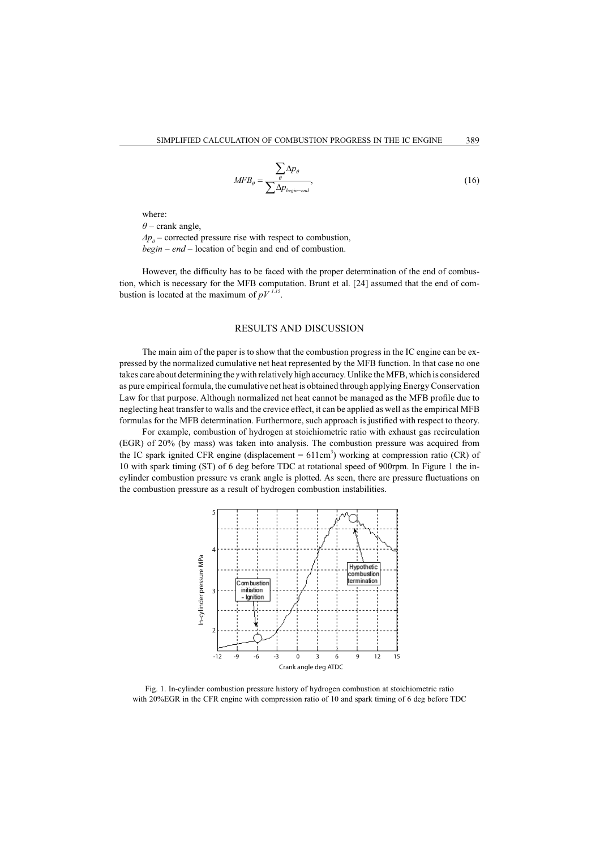$$
MFB_{\theta} = \frac{\sum_{\theta} \Delta p_{\theta}}{\sum_{\Delta p_{begin-end}}},\tag{16}
$$

where:

 $\theta$  – crank angle,  $\Delta p_{\theta}$  – corrected pressure rise with respect to combustion,

*begin – end* – location of begin and end of combustion.

However, the difficulty has to be faced with the proper determination of the end of combustion, which is necessary for the MFB computation. Brunt et al. [24] assumed that the end of combustion is located at the maximum of  $pV^{1.15}$ .

## RESULTS AND DISCUSSION

The main aim of the paper is to show that the combustion progress in the IC engine can be expressed by the normalized cumulative net heat represented by the MFB function. In that case no one takes care about determining the *y* with relatively high accuracy. Unlike the MFB, which is considered as pure empirical formula, the cumulative net heat is obtained through applying Energy Conservation Law for that purpose. Although normalized net heat cannot be managed as the MFB profile due to neglecting heat transfer to walls and the crevice effect, it can be applied as well as the empirical MFB formulas for the MFB determination. Furthermore, such approach is justified with respect to theory.

For example, combustion of hydrogen at stoichiometric ratio with exhaust gas recirculation (EGR) of 20% (by mass) was taken into analysis. The combustion pressure was acquired from the IC spark ignited CFR engine (displacement  $= 611 \text{cm}^3$ ) working at compression ratio (CR) of 10 with spark timing (ST) of 6 deg before TDC at rotational speed of 900rpm. In Figure 1 the incylinder combustion pressure vs crank angle is plotted. As seen, there are pressure fluctuations on the combustion pressure as a result of hydrogen combustion instabilities.



Fig. 1. In-cylinder combustion pressure history of hydrogen combustion at stoichiometric ratio with 20%EGR in the CFR engine with compression ratio of 10 and spark timing of 6 deg before TDC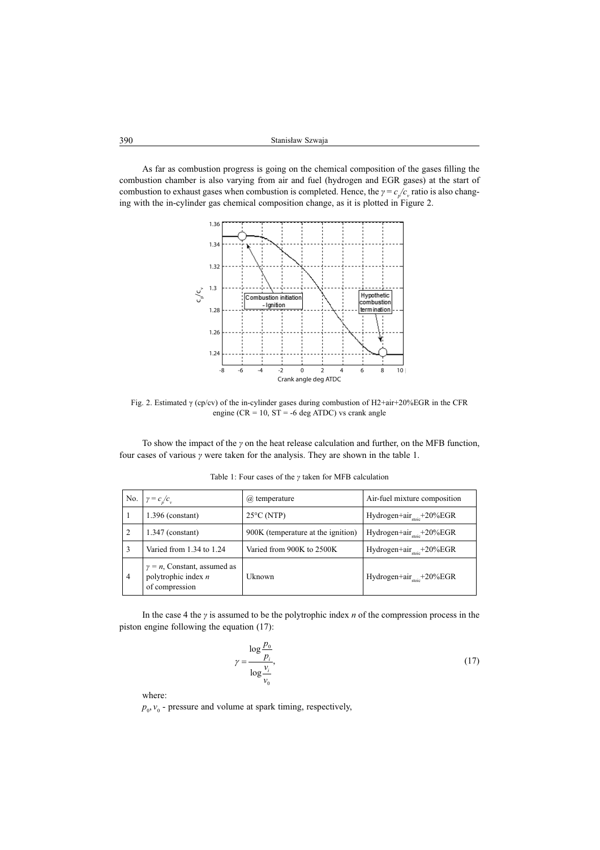As far as combustion progress is going on the chemical composition of the gases filling the combustion chamber is also varying from air and fuel (hydrogen and EGR gases) at the start of combustion to exhaust gases when combustion is completed. Hence, the  $\gamma = c_p/c_v$  ratio is also changing with the in-cylinder gas chemical composition change, as it is plotted in Figure 2.



Fig. 2. Estimated  $\gamma$  (cp/cv) of the in-cylinder gases during combustion of H2+air+20%EGR in the CFR engine ( $CR = 10$ ,  $ST = -6$  deg ATDC) vs crank angle

To show the impact of the  $\gamma$  on the heat release calculation and further, on the MFB function, four cases of various  $\gamma$  were taken for the analysis. They are shown in the table 1.

| No.            | $\gamma = c_p/c_v$                                                             | ( <i>a</i> ) temperature           | Air-fuel mixture composition            |
|----------------|--------------------------------------------------------------------------------|------------------------------------|-----------------------------------------|
|                | $1.396$ (constant)                                                             | $25^{\circ}$ C (NTP)               | Hydrogen+air $_{\text{stoic}}$ +20%EGR  |
| 2              | $1.347$ (constant)                                                             | 900K (temperature at the ignition) | Hydrogen+air $_{\text{stoic}}$ +20%EGR  |
| 3              | Varied from 1.34 to 1.24                                                       | Varied from 900K to 2500K          | Hydrogen+air $_{\text{stoic}}$ +20%EGR  |
| $\overline{4}$ | $\gamma = n$ , Constant, assumed as<br>polytrophic index $n$<br>of compression | Uknown                             | Hydrogen+air $_{\text{stotic}}$ +20%EGR |

Table 1: Four cases of the  $\gamma$  taken for MFB calculation

In the case 4 the *y* is assumed to be the polytrophic index *n* of the compression process in the piston engine following the equation (17):

$$
\gamma = \frac{\log \frac{p_0}{p_i}}{\log \frac{v_i}{v_0}},\tag{17}
$$

where:

 $p_0$ ,  $v_0$  - pressure and volume at spark timing, respectively,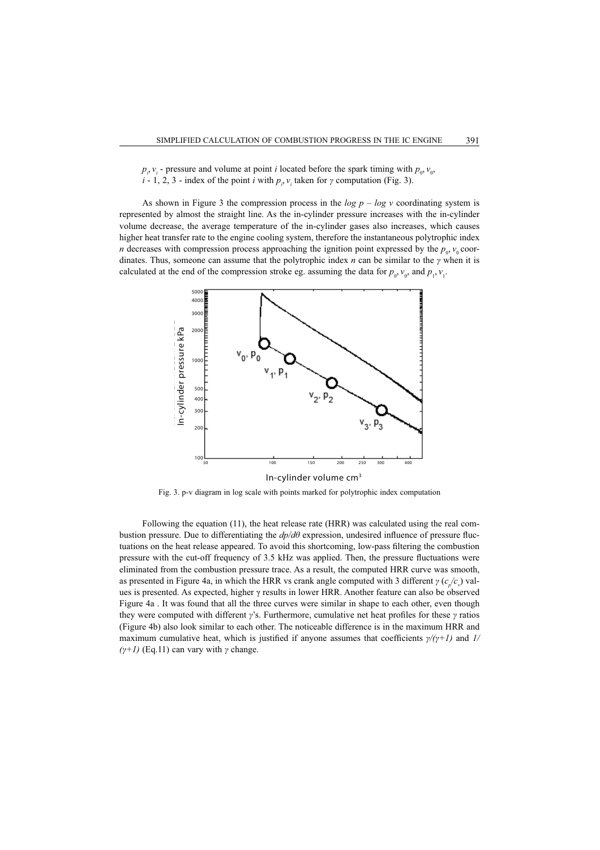$p_i$ ,  $v_i$  - pressure and volume at point *i* located before the spark timing with  $p_0$ ,  $v_0$ , *i* - 1, 2, 3 - index of the point *i* with  $p_i$ ,  $v_i$  taken for  $\gamma$  computation (Fig. 3).

As shown in Figure 3 the compression process in the  $log p - log v$  coordinating system is represented by almost the straight line. As the in-cylinder pressure increases with the in-cylinder volume decrease, the average temperature of the in-cylinder gases also increases, which causes higher heat transfer rate to the engine cooling system, therefore the instantaneous polytrophic index *n* decreases with compression process approaching the ignition point expressed by the  $p_0$ ,  $v_0$  coordinates. Thus, someone can assume that the polytrophic index  $n$  can be similar to the  $\gamma$  when it is calculated at the end of the compression stroke eg. assuming the data for  $p_0$ ,  $v_0$ , and  $p_1$ ,  $v_1$ .



Fig. 3. p-v diagram in log scale with points marked for polytrophic index computation

Following the equation (11), the heat release rate (HRR) was calculated using the real combustion pressure. Due to differentiating the  $dp/d\theta$  expression, undesired influence of pressure fluctuations on the heat release appeared. To avoid this shortcoming, low-pass filtering the combustion pressure with the cut-off frequency of 3.5 kHz was applied. Then, the pressure fluctuations were eliminated from the combustion pressure trace. As a result, the computed HRR curve was smooth, as presented in Figure 4a, in which the HRR vs crank angle computed with 3 different  $\gamma$  ( $c_p/c_p$ ) values is presented. As expected, higher  $\gamma$  results in lower HRR. Another feature can also be observed Figure 4a . It was found that all the three curves were similar in shape to each other, even though they were computed with different  $\gamma$ 's. Furthermore, cumulative net heat profiles for these  $\gamma$  ratios (Figure 4b) also look similar to each other. The noticeable difference is in the maximum HRR and maximum cumulative heat, which is justified if anyone assumes that coefficients  $\psi$ / $(\gamma + 1)$  and  $1$ /  $(\gamma + 1)$  (Eq.11) can vary with  $\gamma$  change.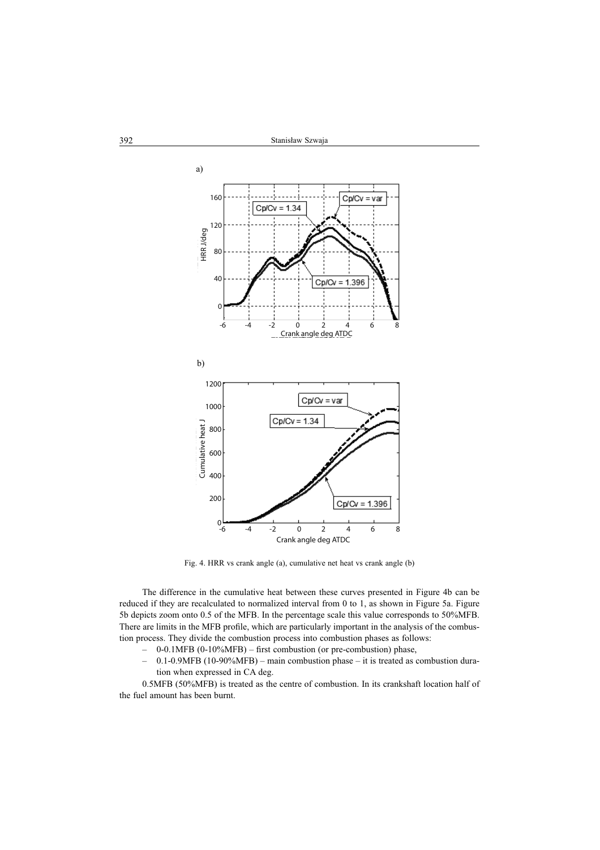

Fig. 4. HRR vs crank angle (a), cumulative net heat vs crank angle (b)

The difference in the cumulative heat between these curves presented in Figure 4b can be reduced if they are recalculated to normalized interval from 0 to 1, as shown in Figure 5a. Figure 5b depicts zoom onto 0.5 of the MFB. In the percentage scale this value corresponds to 50%MFB. There are limits in the MFB profile, which are particularly important in the analysis of the combustion process. They divide the combustion process into combustion phases as follows:

- $-$  0-0.1MFB (0-10%MFB) first combustion (or pre-combustion) phase,
- 0.1-0.9MFB (10-90%MFB) main combustion phase it is treated as combustion duration when expressed in CA deg.

0.5MFB (50%MFB) is treated as the centre of combustion. In its crankshaft location half of the fuel amount has been burnt.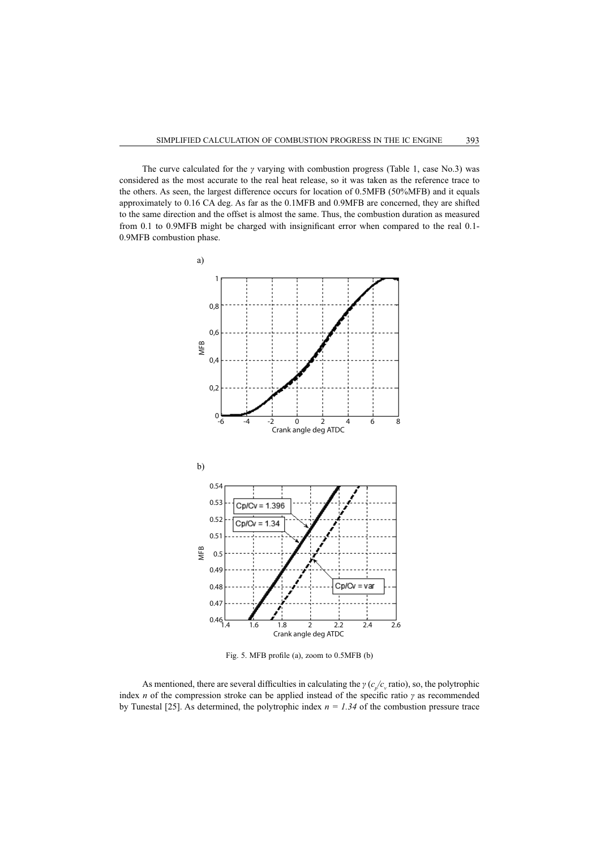The curve calculated for the  $\gamma$  varying with combustion progress (Table 1, case No.3) was considered as the most accurate to the real heat release, so it was taken as the reference trace to the others. As seen, the largest difference occurs for location of 0.5MFB (50%MFB) and it equals approximately to 0.16 CA deg. As far as the 0.1MFB and 0.9MFB are concerned, they are shifted to the same direction and the offset is almost the same. Thus, the combustion duration as measured from 0.1 to 0.9MFB might be charged with insignificant error when compared to the real 0.1-0.9MFB combustion phase.



Fig. 5. MFB profile (a), zoom to 0.5MFB (b)

As mentioned, there are several difficulties in calculating the  $\gamma$  ( $c_p/c_v$  ratio), so, the polytrophic index *n* of the compression stroke can be applied instead of the specific ratio  $\gamma$  as recommended by Tunestal [25]. As determined, the polytrophic index  $n = 1.34$  of the combustion pressure trace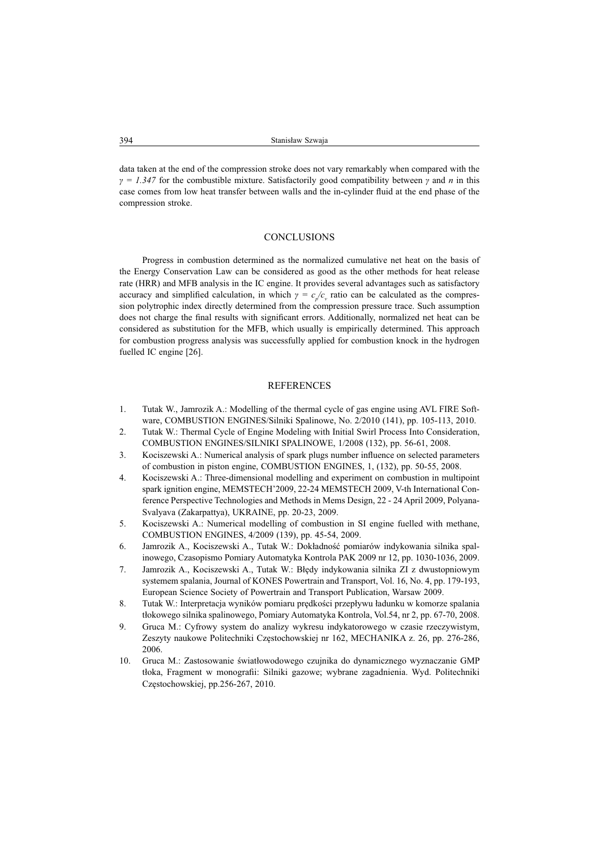data taken at the end of the compression stroke does not vary remarkably when compared with the  $\gamma = 1.347$  for the combustible mixture. Satisfactorily good compatibility between  $\gamma$  and *n* in this case comes from low heat transfer between walls and the in-cylinder fluid at the end phase of the compression stroke.

#### **CONCLUSIONS**

Progress in combustion determined as the normalized cumulative net heat on the basis of the Energy Conservation Law can be considered as good as the other methods for heat release rate (HRR) and MFB analysis in the IC engine. It provides several advantages such as satisfactory accuracy and simplified calculation, in which  $\gamma = c_p/c$ , ratio can be calculated as the compression polytrophic index directly determined from the compression pressure trace. Such assumption does not charge the final results with significant errors. Additionally, normalized net heat can be considered as substitution for the MFB, which usually is empirically determined. This approach for combustion progress analysis was successfully applied for combustion knock in the hydrogen fuelled IC engine [26].

#### **REFERENCES**

- 1. Tutak W., Jamrozik A.: Modelling of the thermal cycle of gas engine using AVL FIRE Software, COMBUSTION ENGINES/Silniki Spalinowe, No. 2/2010 (141), pp. 105-113, 2010.
- 2. Tutak W.: Thermal Cycle of Engine Modeling with Initial Swirl Process Into Consideration, COMBUSTION ENGINES/SILNIKI SPALINOWE, 1/2008 (132), pp. 56-61, 2008.
- 3. Kociszewski A.: Numerical analysis of spark plugs number influence on selected parameters of combustion in piston engine, COMBUSTION ENGINES, 1, (132), pp. 50-55, 2008.
- 4. Kociszewski A.: Three-dimensional modelling and experiment on combustion in multipoint spark ignition engine, MEMSTECH'2009, 22-24 MEMSTECH 2009, V-th International Conference Perspective Technologies and Methods in Mems Design, 22 - 24 April 2009, Polyana-Svalyava (Zakarpattya), UKRAINE, pp. 20-23, 2009.
- 5. Kociszewski A.: Numerical modelling of combustion in SI engine fuelled with methane, COMBUSTION ENGINES, 4/2009 (139), pp. 45-54, 2009.
- 6. Jamrozik A., Kociszewski A., Tutak W.: Dokładność pomiarów indykowania silnika spalinowego, Czasopismo Pomiary Automatyka Kontrola PAK 2009 nr 12, pp. 1030-1036, 2009.
- 7. Jamrozik A., Kociszewski A., Tutak W.: Błędy indykowania silnika ZI z dwustopniowym systemem spalania, Journal of KONES Powertrain and Transport, Vol. 16, No. 4, pp. 179-193, European Science Society of Powertrain and Transport Publication, Warsaw 2009.
- 8. Tutak W.: Interpretacja wyników pomiaru prędkości przepływu ładunku w komorze spalania tłokowego silnika spalinowego, Pomiary Automatyka Kontrola, Vol.54, nr 2, pp. 67-70, 2008.
- 9. Gruca M.: Cyfrowy system do analizy wykresu indykatorowego w czasie rzeczywistym, Zeszyty naukowe Politechniki Częstochowskiej nr 162, MECHANIKA z. 26, pp. 276-286, 2006.
- 10. Gruca M.: Zastosowanie Ğwiatáowodowego czujnika do dynamicznego wyznaczanie GMP tłoka, Fragment w monografii: Silniki gazowe; wybrane zagadnienia. Wyd. Politechniki Częstochowskiej, pp.256-267, 2010.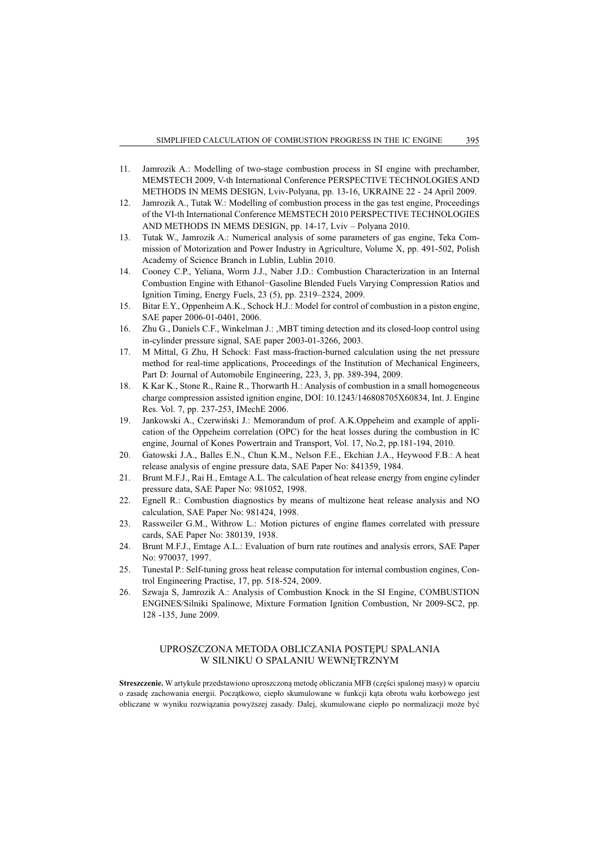- 11. Jamrozik A.: Modelling of two-stage combustion process in SI engine with prechamber, MEMSTECH 2009, V-th International Conference PERSPECTIVE TECHNOLOGIES AND METHODS IN MEMS DESIGN, Lviv-Polyana, pp. 13-16, UKRAINE 22 - 24 April 2009.
- 12. Jamrozik A., Tutak W.: Modelling of combustion process in the gas test engine, Proceedings of the VI-th International Conference MEMSTECH 2010 PERSPECTIVE TECHNOLOGIES AND METHODS IN MEMS DESIGN, pp. 14-17, Lviv – Polyana 2010.
- 13. Tutak W., Jamrozik A.: Numerical analysis of some parameters of gas engine, Teka Commission of Motorization and Power Industry in Agriculture, Volume X, pp. 491-502, Polish Academy of Science Branch in Lublin, Lublin 2010.
- 14. Cooney C.P., Yeliana, Worm J.J., Naber J.D.: Combustion Characterization in an Internal Combustion Engine with Ethanol–Gasoline Blended Fuels Varying Compression Ratios and Ignition Timing, Energy Fuels, 23 (5), pp. 2319–2324, 2009.
- 15. Bitar E.Y., Oppenheim A.K., Schock H.J.: Model for control of combustion in a piston engine, SAE paper 2006-01-0401, 2006.
- 16. Zhu G., Daniels C.F., Winkelman J.: , MBT timing detection and its closed-loop control using in-cylinder pressure signal, SAE paper 2003-01-3266, 2003.
- 17. M Mittal, G Zhu, H Schock: Fast mass-fraction-burned calculation using the net pressure method for real-time applications, Proceedings of the Institution of Mechanical Engineers, Part D: Journal of Automobile Engineering, 223, 3, pp. 389-394, 2009.
- 18. K Kar K., Stone R., Raine R., Thorwarth H.: Analysis of combustion in a small homogeneous charge compression assisted ignition engine, DOI: 10.1243/146808705X60834, Int. J. Engine Res. Vol. 7, pp. 237-253, IMechE 2006.
- 19. Jankowski A., Czerwiński J.: Memorandum of prof. A.K.Oppeheim and example of application of the Oppeheim correlation (OPC) for the heat losses during the combustion in IC engine, Journal of Kones Powertrain and Transport, Vol. 17, No.2, pp.181-194, 2010.
- 20. Gatowski J.A., Balles E.N., Chun K.M., Nelson F.E., Ekchian J.A., Heywood F.B.: A heat release analysis of engine pressure data, SAE Paper No: 841359, 1984.
- 21. Brunt M.F.J., Rai H., Emtage A.L. The calculation of heat release energy from engine cylinder pressure data, SAE Paper No: 981052, 1998.
- 22. Egnell R.: Combustion diagnostics by means of multizone heat release analysis and NO calculation, SAE Paper No: 981424, 1998.
- 23. Rassweiler G.M., Withrow L.: Motion pictures of engine flames correlated with pressure cards, SAE Paper No: 380139, 1938.
- 24. Brunt M.F.J., Emtage A.L.: Evaluation of burn rate routines and analysis errors, SAE Paper No: 970037, 1997.
- 25. Tunestal P.: Self-tuning gross heat release computation for internal combustion engines, Control Engineering Practise, 17, pp. 518-524, 2009.
- 26. Szwaja S, Jamrozik A.: Analysis of Combustion Knock in the SI Engine, COMBUSTION ENGINES/Silniki Spalinowe, Mixture Formation Ignition Combustion, Nr 2009-SC2, pp. 128 -135, June 2009.

# UPROSZCZONA METODA OBLICZANIA POSTEPU SPALANIA W SILNIKU O SPALANIU WEWNĘTRZNYM

**Streszczenie.** W artykule przedstawiono uproszczoną metode obliczania MFB (cześci spalonej masy) w oparciu o zasadę zachowania energii. Początkowo, ciepło skumulowane w funkcji kąta obrotu wału korbowego jest obliczane w wyniku rozwiązania powyższej zasady. Dalej, skumulowane ciepło po normalizacji może być